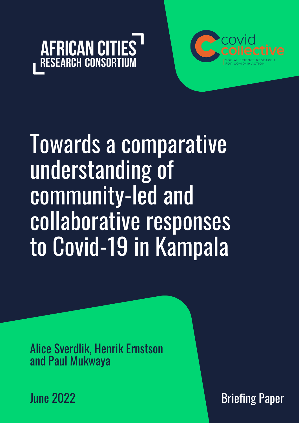



# Towards a comparative understanding of community-led and collaborative responses to Covid-19 in Kampala

Alice Sverdlik, Henrik Ernstson and Paul Mukwaya

June 2022

Briefing Paper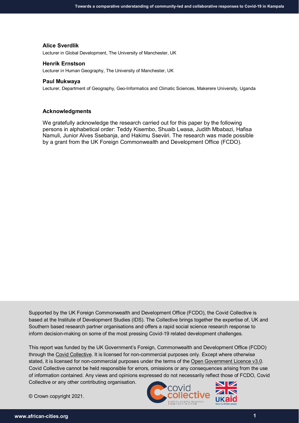#### **Alice Sverdlik**

Lecturer in Global Development, The University of Manchester, UK

#### **Henrik Ernstson**

Lecturer in Human Geography, The University of Manchester, UK

#### **Paul Mukwaya**

Lecturer, Department of Geography, Geo-Informatics and Climatic Sciences, Makerere University, Uganda

#### **Acknowledgments**

We gratefully acknowledge the research carried out for this paper by the following persons in alphabetical order: Teddy Kisembo, Shuaib Lwasa, Judith Mbabazi, Hafisa Namuli, Junior Alves Ssebanja, and Hakimu Sseviiri. The research was made possible by a grant from the UK Foreign Commonwealth and Development Office (FCDO).

Supported by the UK Foreign Commonwealth and Development Office (FCDO), the Covid Collective is based at the Institute of Development Studies (IDS). The Collective brings together the expertise of, UK and Southern based research partner organisations and offers a rapid social science research response to inform decision-making on some of the most pressing Covid-19 related development challenges.

This report was funded by the UK Government's Foreign, Commonwealth and Development Office (FCDO) through the [Covid Collective.](https://www.ids.ac.uk/projects/covid-collective/) It is licensed for non-commercial purposes only. Except where otherwise stated, it is licensed for non-commercial purposes under the terms of the [Open Government Licence v3.0.](https://www.nationalarchives.gov.uk/doc/open-government-licence/version/3/) Covid Collective cannot be held responsible for errors, omissions or any consequences arising from the use of information contained. Any views and opinions expressed do not necessarily reflect those of FCDO, Covid Collective or any other contributing organisation.

© Crown copyright 2021.

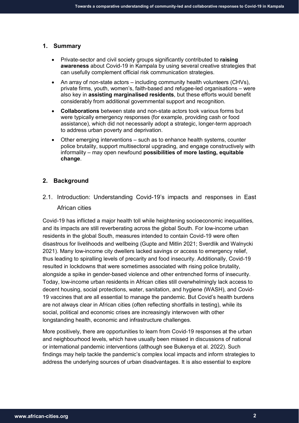#### **1. Summary**

- Private-sector and civil society groups significantly contributed to **raising awareness** about Covid-19 in Kampala by using several creative strategies that can usefully complement official risk communication strategies.
- An array of non-state actors including community health volunteers (CHVs), private firms, youth, women's, faith-based and refugee-led organisations – were also key in **assisting marginalised residents**, but these efforts would benefit considerably from additional governmental support and recognition.
- **Collaborations** between state and non-state actors took various forms but were typically emergency responses (for example, providing cash or food assistance), which did not necessarily adopt a strategic, longer-term approach to address urban poverty and deprivation.
- Other emerging interventions such as to enhance health systems, counter police brutality, support multisectoral upgrading, and engage constructively with informality – may open newfound **possibilities of more lasting, equitable change**.

# **2. Background**

2.1. Introduction: Understanding Covid-19's impacts and responses in East African cities

Covid-19 has inflicted a major health toll while heightening socioeconomic inequalities, and its impacts are still reverberating across the global South. For low-income urban residents in the global South, measures intended to contain Covid-19 were often disastrous for livelihoods and wellbeing (Gupte and Mitlin 2021; Sverdlik and Walnycki 2021). Many low-income city dwellers lacked savings or access to emergency relief, thus leading to spiralling levels of precarity and food insecurity. Additionally, Covid-19 resulted in lockdowns that were sometimes associated with rising police brutality, alongside a spike in gender-based violence and other entrenched forms of insecurity. Today, low-income urban residents in African cities still overwhelmingly lack access to decent housing, social protections, water, sanitation, and hygiene (WASH), and Covid-19 vaccines that are all essential to manage the pandemic. But Covid's health burdens are not always clear in African cities (often reflecting shortfalls in testing), while its social, political and economic crises are increasingly interwoven with other longstanding health, economic and infrastructure challenges.

More positively, there are opportunities to learn from Covid-19 responses at the urban and neighbourhood levels, which have usually been missed in discussions of national or international pandemic interventions (although see Bukenya et al. 2022). Such findings may help tackle the pandemic's complex local impacts and inform strategies to address the underlying sources of urban disadvantages. It is also essential to explore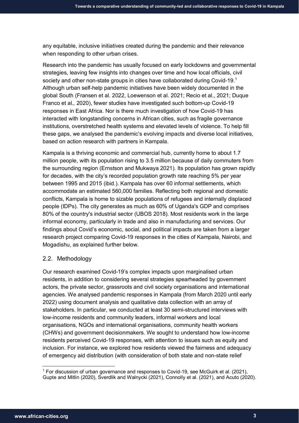any equitable, inclusive initiatives created during the pandemic and their relevance when responding to other urban crises.

Research into the pandemic has usually focused on early lockdowns and governmental strategies, leaving few insights into changes over time and how local officials, civil society and other non-state groups in cities have collaborated during Covid-[1](#page-3-0)9.<sup>1</sup> Although urban self-help pandemic initiatives have been widely documented in the global South (Fransen et al. 2022, Loewenson et al. 2021; Recio et al., 2021; Duque Franco et al*.,* 2020), fewer studies have investigated such bottom-up Covid-19 responses in East Africa. Nor is there much investigation of how Covid-19 has interacted with longstanding concerns in African cities, such as fragile governance institutions, overstretched health systems and elevated levels of violence. To help fill these gaps, we analysed the pandemic's evolving impacts and diverse local initiatives, based on action research with partners in Kampala.

Kampala is a thriving economic and commercial hub, currently home to about 1.7 million people, with its population rising to 3.5 million because of daily commuters from the surrounding region (Ernstson and Mukwaya 2021). Its population has grown rapidly for decades, with the city's recorded population growth rate reaching 5% per year between 1995 and 2015 (ibid.). Kampala has over 60 informal settlements, which accommodate an estimated 560,000 families. Reflecting both regional and domestic conflicts, Kampala is home to sizable populations of refugees and internally displaced people (IDPs). The city generates as much as 60% of Uganda's GDP and comprises 80% of the country's industrial sector (UBOS 2018). Most residents work in the large informal economy, particularly in trade and also in manufacturing and services. Our findings about Covid's economic, social, and political impacts are taken from a larger research project comparing Covid-19 responses in the cities of Kampala, Nairobi, and Mogadishu, as explained further below.

# 2.2. Methodology

Our research examined Covid-19's complex impacts upon marginalised urban residents, in addition to considering several strategies spearheaded by government actors, the private sector, grassroots and civil society organisations and international agencies. We analysed pandemic responses in Kampala (from March 2020 until early 2022) using document analysis and qualitative data collection with an array of stakeholders. In particular, we conducted at least 30 semi-structured interviews with low-income residents and community leaders, informal workers and local organisations, NGOs and international organisations, community health workers (CHWs) and government decisionmakers. We sought to understand how low-income residents perceived Covid-19 responses, with attention to issues such as equity and inclusion. For instance, we explored how residents viewed the fairness and adequacy of emergency aid distribution (with consideration of both state and non-state relief

<span id="page-3-0"></span> <sup>1</sup> For discussion of urban governance and responses to Covid-19, see McGuirk et al. (2021), Gupte and Mitlin (2020), Sverdlik and Walnycki (2021), Connolly et al. (2021), and Acuto (2020).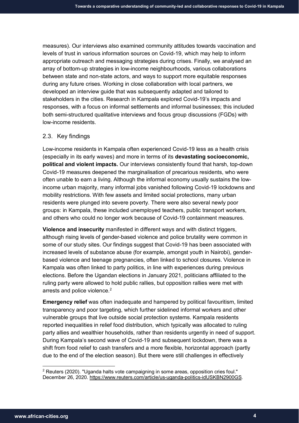measures). Our interviews also examined community attitudes towards vaccination and levels of trust in various information sources on Covid-19, which may help to inform appropriate outreach and messaging strategies during crises. Finally, we analysed an array of bottom-up strategies in low-income neighbourhoods, various collaborations between state and non-state actors, and ways to support more equitable responses during any future crises. Working in close collaboration with local partners, we developed an interview guide that was subsequently adapted and tailored to stakeholders in the cities. Research in Kampala explored Covid-19's impacts and responses, with a focus on informal settlements and informal businesses; this included both semi-structured qualitative interviews and focus group discussions (FGDs) with low-income residents.

# 2.3. Key findings

Low-income residents in Kampala often experienced Covid-19 less as a health crisis (especially in its early waves) and more in terms of its **devastating socioeconomic, political and violent impacts.** Our interviews consistently found that harsh, top-down Covid-19 measures deepened the marginalisation of precarious residents, who were often unable to earn a living. Although the informal economy usually sustains the lowincome urban majority, many informal jobs vanished following Covid-19 lockdowns and mobility restrictions. With few assets and limited social protections, many urban residents were plunged into severe poverty. There were also several newly poor groups: in Kampala, these included unemployed teachers, public transport workers, and others who could no longer work because of Covid-19 containment measures.

**Violence and insecurity** manifested in different ways and with distinct triggers, although rising levels of gender-based violence and police brutality were common in some of our study sites. Our findings suggest that Covid-19 has been associated with increased levels of substance abuse (for example, amongst youth in Nairobi), genderbased violence and teenage pregnancies, often linked to school closures. Violence in Kampala was often linked to party politics, in line with experiences during previous elections. Before the Ugandan elections in January 2021, politicians affiliated to the ruling party were allowed to hold public rallies, but opposition rallies were met with arrests and police violence. $2$ 

**Emergency relief** was often inadequate and hampered by political favouritism, limited transparency and poor targeting, which further sidelined informal workers and other vulnerable groups that live outside social protection systems. Kampala residents reported inequalities in relief food distribution, which typically was allocated to ruling party allies and wealthier households, rather than residents urgently in need of support. During Kampala's second wave of Covid-19 and subsequent lockdown, there was a shift from food relief to cash transfers and a more flexible, horizontal approach (partly due to the end of the election season). But there were still challenges in effectively

-

<span id="page-4-0"></span> $^{\rm 2}$  Reuters (2020). "Uganda halts vote campaigning in some areas, opposition cries foul." December 26, 2020. [https://www.reuters.com/article/us-uganda-politics-idUSKBN2900GS.](https://www.reuters.com/article/us-uganda-politics-idUSKBN2900GS)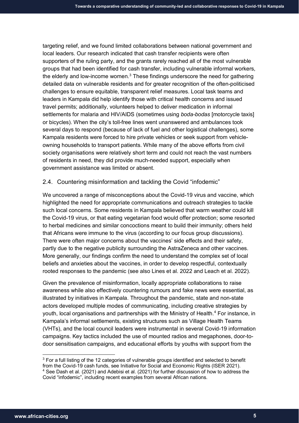targeting relief, and we found limited collaborations between national government and local leaders. Our research indicated that cash transfer recipients were often supporters of the ruling party, and the grants rarely reached all of the most vulnerable groups that had been identified for cash transfer, including vulnerable informal workers, the elderly and low-income women. $3$  These findings underscore the need for gathering detailed data on vulnerable residents and for greater recognition of the often-politicised challenges to ensure equitable, transparent relief measures. Local task teams and leaders in Kampala did help identify those with critical health concerns and issued travel permits; additionally, volunteers helped to deliver medication in informal settlements for malaria and HIV/AIDS (sometimes using *boda-bodas* [motorcycle taxis] or bicycles). When the city's toll-free lines went unanswered and ambulances took several days to respond (because of lack of fuel and other logistical challenges), some Kampala residents were forced to hire private vehicles or seek support from vehicleowning households to transport patients. While many of the above efforts from civil society organisations were relatively short term and could not reach the vast numbers of residents in need, they did provide much-needed support, especially when government assistance was limited or absent.

## 2.4. Countering misinformation and tackling the Covid "infodemic"

We uncovered a range of misconceptions about the Covid-19 virus and vaccine, which highlighted the need for appropriate communications and outreach strategies to tackle such local concerns. Some residents in Kampala believed that warm weather could kill the Covid-19 virus, or that eating vegetarian food would offer protection; some resorted to herbal medicines and similar concoctions meant to build their immunity; others held that Africans were immune to the virus (according to our focus group discussions). There were often major concerns about the vaccines' side effects and their safety, partly due to the negative publicity surrounding the AstraZeneca and other vaccines. More generally, our findings confirm the need to understand the complex set of local beliefs and anxieties about the vaccines, in order to develop respectful, contextually rooted responses to the pandemic (see also Lines et al. 2022 and Leach et al. 2022).

Given the prevalence of misinformation, locally appropriate collaborations to raise awareness while also effectively countering rumours and fake news were essential, as illustrated by initiatives in Kampala. Throughout the pandemic, state and non-state actors developed multiple modes of communicating, including creative strategies by youth, local organisations and partnerships with the Ministry of Health[.4](#page-5-1) For instance, in Kampala's informal settlements, existing structures such as Village Health Teams (VHTs), and the local council leaders were instrumental in several Covid-19 information campaigns. Key tactics included the use of mounted radios and megaphones, door-todoor sensitisation campaigns, and educational efforts by youths with support from the

 $\overline{a}$ 

<span id="page-5-1"></span><span id="page-5-0"></span><sup>&</sup>lt;sup>3</sup> For a full listing of the 12 categories of vulnerable groups identified and selected to benefit from the Covid-19 cash funds, see Initiative for Social and Economic Rights (ISER 2021). 4 See Dash et al. (2021) and Adebisi et al. (2021) for further discussion of how to address the Covid "infodemic", including recent examples from several African nations.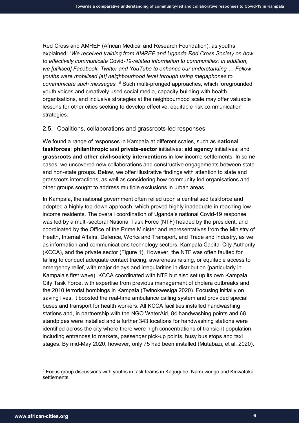Red Cross and AMREF (African Medical and Research Foundation), as youths explained: "*We received training from AMREF and Uganda Red Cross Society on how to effectively communicate* Covid*-19-related information to communities. In addition, we [utilised] Facebook, Twitter and YouTube to enhance our understanding … Fellow youths were mobilised [at] neighbourhood level through using megaphones to communicate such messages."[5](#page-6-0)* Such multi-pronged approaches, which foregrounded youth voices and creatively used social media, capacity-building with health organisations, and inclusive strategies at the neighbourhood scale may offer valuable lessons for other cities seeking to develop effective, equitable risk communication strategies.

## 2.5. Coalitions, collaborations and grassroots-led responses

We found a range of responses in Kampala at different scales, such as **national taskforces**; **philanthropic** and **private-sector** initiatives; **aid agency** initiatives; and **grassroots and other civil-society interventions** in low-income settlements. In some cases, we uncovered new collaborations and constructive engagements between state and non-state groups. Below, we offer illustrative findings with attention to state and grassroots interactions, as well as considering how community-led organisations and other groups sought to address multiple exclusions in urban areas.

In Kampala, the national government often relied upon a centralised taskforce and adopted a highly top-down approach, which proved highly inadequate in reaching lowincome residents. The overall coordination of Uganda's national Covid-19 response was led by a multi-sectoral National Task Force (NTF) headed by the president, and coordinated by the Office of the Prime Minister and representatives from the Ministry of Health, Internal Affairs, Defence, Works and Transport, and Trade and Industry, as well as information and communications technology sectors, Kampala Capital City Authority (KCCA), and the private sector (Figure 1). However, the NTF was often faulted for failing to conduct adequate contact tracing, awareness raising, or equitable access to emergency relief, with major delays and irregularities in distribution (particularly in Kampala's first wave). KCCA coordinated with NTF but also set up its own Kampala City Task Force, with expertise from previous management of cholera outbreaks and the 2010 terrorist bombings in Kampala (Twinokwesiga 2020). Focusing initially on saving lives, it boosted the real-time ambulance calling system and provided special buses and transport for health workers. All KCCA facilities installed handwashing stations and, in partnership with the NGO WaterAid, 84 handwashing points and 68 standpipes were installed and a further 343 locations for handwashing stations were identified across the city where there were high concentrations of transient population, including entrances to markets, passenger pick-up points, busy bus stops and taxi stages. By mid-May 2020, however, only 75 had been installed (Mutabazi, et al. 2020).

<span id="page-6-0"></span> <sup>5</sup> Focus group discussions with youths in task teams in Kagugube, Namuwongo and Kinwataka settlements.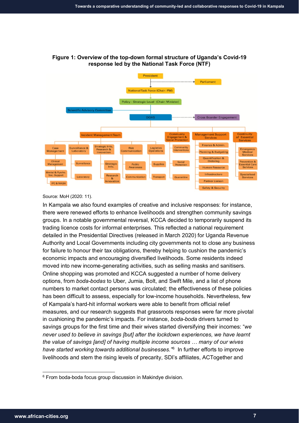

# **Figure 1: Overview of the top-down formal structure of Uganda's Covid-19 response led by the National Task Force (NTF)**

Source: MoH (2020: 11).

In Kampala we also found examples of creative and inclusive responses: for instance, there were renewed efforts to enhance livelihoods and strengthen community savings groups. In a notable governmental reversal, KCCA decided to temporarily suspend its trading licence costs for informal enterprises. This reflected a national requirement detailed in the Presidential Directives (released in March 2020) for Uganda Revenue Authority and Local Governments including city governments not to close any business for failure to honour their tax obligations, thereby helping to cushion the pandemic's economic impacts and encouraging diversified livelihoods. Some residents indeed moved into new income-generating activities, such as selling masks and sanitisers. Online shopping was promoted and KCCA suggested a number of home delivery options, from *boda-bodas* to Uber, Jumia, Bolt, and Swift Mile, and a list of phone numbers to market contact persons was circulated; the effectiveness of these policies has been difficult to assess, especially for low-income households. Nevertheless, few of Kampala's hard-hit informal workers were able to benefit from official relief measures, and our research suggests that grassroots responses were far more pivotal in cushioning the pandemic's impacts. For instance, *boda-boda* drivers turned to savings groups for the first time and their wives started diversifying their incomes: "*we never used to believe in savings [but] after the lockdown experiences, we have learnt the value of savings [and] of having multiple income sources … many of our wives have started working towards additional businesses."*[6](#page-7-0) In further efforts to improve livelihoods and stem the rising levels of precarity, SDI's affiliates, ACTogether and

<span id="page-7-0"></span><sup>&</sup>lt;sup>6</sup> From boda-boda focus group discussion in Makindye division.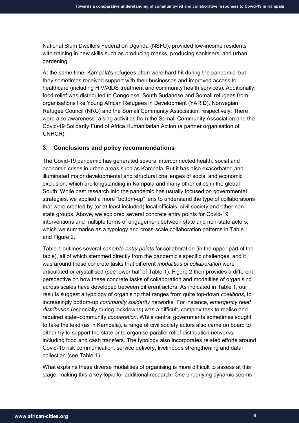National Slum Dwellers Federation Uganda (NSFU), provided low-income residents with training in new skills such as producing masks, producing sanitisers, and urban gardening.

At the same time, Kampala's refugees often were hard-hit during the pandemic, but they sometimes received support with their businesses and improved access to healthcare (including HIV/AIDS treatment and community health services). Additionally, food relief was distributed to Congolese, South Sudanese and Somali refugees from organisations like Young African Refugees in Development (YARID), Norwegian Refugee Council (NRC) and the Somali Community Association, respectively. There were also awareness-raising activities from the Somali Community Association and the Covid-19 Solidarity Fund of Africa Humanitarian Action (a partner organisation of UNHCR).

#### **3. Conclusions and policy recommendations**

The Covid-19 pandemic has generated several interconnected health, social and economic crises in urban areas such as Kampala. But it has also exacerbated and illuminated major developmental and structural challenges of social and economic exclusion, which are longstanding in Kampala and many other cities in the global South. While past research into the pandemic has usually focused on governmental strategies, we applied a more "bottom-up" lens to understand the type of collaborations that were created by (or at least included) local officials, civil society and other nonstate groups. Above, we explored several concrete entry points for Covid-19 interventions and multiple forms of engagement between state and non-state actors, which we summarise as a typology and cross-scale collaboration patterns in Table 1 and Figure 2.

Table 1 outlines several *concrete entry points* for collaboration (in the upper part of the table), all of which stemmed directly from the pandemic's specific challenges, and it was around these concrete tasks that different *modalities of collaboration* were articulated or crystallised (see lower half of Table 1). Figure 2 then provides a different perspective on how these concrete tasks of collaboration and modalities of organising across scales have developed between different actors. As indicated in Table 1, our results suggest a typology of organising that ranges from quite top-down *coalitions*, to increasingly bottom-up *community solidarity* networks. For instance, *emergency relief distribution* (especially during lockdowns) was a difficult, complex task to realise and required state–community *cooperation*. While central governments sometimes sought to take the lead (as in Kampala), a range of civil society actors also came on board to either try to support the state or to organise parallel relief distribution networks, including food and cash transfers. The typology also incorporates related efforts around Covid-19 risk communication, service delivery, livelihoods strengthening and datacollection (see Table 1).

What explains these diverse modalities of organising is more difficult to assess at this stage, making this a key topic for additional research. One underlying dynamic seems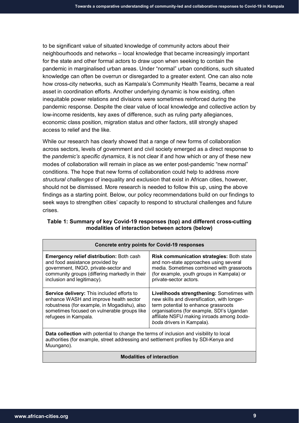to be significant value of situated knowledge of community actors about their neighbourhoods and networks – local knowledge that became increasingly important for the state and other formal actors to draw upon when seeking to contain the pandemic in marginalised urban areas. Under "normal" urban conditions, such situated knowledge can often be overrun or disregarded to a greater extent. One can also note how cross-city networks, such as Kampala's Community Health Teams, became a real asset in coordination efforts. Another underlying dynamic is how existing, often inequitable power relations and divisions were sometimes reinforced during the pandemic response. Despite the clear value of local knowledge and collective action by low-income residents, key axes of difference, such as ruling party allegiances, economic class position, migration status and other factors, still strongly shaped access to relief and the like.

While our research has clearly showed that a range of new forms of collaboration across sectors, levels of government and civil society emerged as a direct response to the *pandemic's specific dynamics*, it is not clear if and how which or any of these new modes of collaboration will remain in place as we enter post-pandemic "new normal" conditions. The hope that new forms of collaboration could help to address *more structural challenges* of inequality and exclusion that exist in African cities, however, should not be dismissed. More research is needed to follow this up, using the above findings as a starting point. Below, our policy recommendations build on our findings to seek ways to strengthen cities' capacity to respond to structural challenges and future crises.

| Table 1: Summary of key Covid-19 responses (top) and different cross-cutting |
|------------------------------------------------------------------------------|
| modalities of interaction between actors (below)                             |

| <b>Concrete entry points for Covid-19 responses</b>                                                                                                                                                         |                                                                                                                                                                                                                                                          |  |
|-------------------------------------------------------------------------------------------------------------------------------------------------------------------------------------------------------------|----------------------------------------------------------------------------------------------------------------------------------------------------------------------------------------------------------------------------------------------------------|--|
| <b>Emergency relief distribution: Both cash</b><br>and food assistance provided by<br>government, INGO, private-sector and<br>community groups (differing markedly in their<br>inclusion and legitimacy).   | <b>Risk communication strategies: Both state</b><br>and non-state approaches using several<br>media. Sometimes combined with grassroots<br>(for example, youth groups in Kampala) or<br>private-sector actors.                                           |  |
| Service delivery: This included efforts to<br>enhance WASH and improve health sector<br>robustness (for example, in Mogadishu), also<br>sometimes focused on vulnerable groups like<br>refugees in Kampala. | Livelihoods strengthening: Sometimes with<br>new skills and diversification, with longer-<br>term potential to enhance grassroots<br>organisations (for example, SDI's Ugandan<br>affiliate NSFU making inroads among boda-<br>boda drivers in Kampala). |  |
| <b>Data collection</b> with potential to change the terms of inclusion and visibility to local<br>authorities (for example, street addressing and settlement profiles by SDI-Kenya and<br>Muungano).        |                                                                                                                                                                                                                                                          |  |
| <b>Modalities of interaction</b>                                                                                                                                                                            |                                                                                                                                                                                                                                                          |  |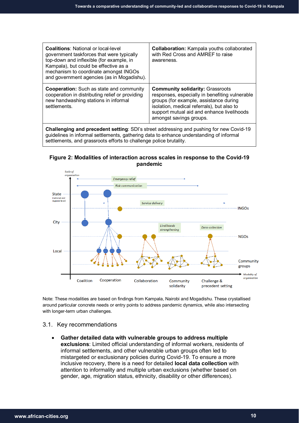| <b>Coalitions:</b> National or local-level<br>government taskforces that were typically<br>top-down and inflexible (for example, in<br>Kampala), but could be effective as a<br>mechanism to coordinate amongst INGOs<br>and government agencies (as in Mogadishu). | <b>Collaboration:</b> Kampala youths collaborated<br>with Red Cross and AMREF to raise<br>awareness.                                                                                                                                                       |  |
|---------------------------------------------------------------------------------------------------------------------------------------------------------------------------------------------------------------------------------------------------------------------|------------------------------------------------------------------------------------------------------------------------------------------------------------------------------------------------------------------------------------------------------------|--|
| <b>Cooperation:</b> Such as state and community<br>cooperation in distributing relief or providing<br>new handwashing stations in informal<br>settlements.                                                                                                          | <b>Community solidarity: Grassroots</b><br>responses, especially in benefiting vulnerable<br>groups (for example, assistance during<br>isolation, medical referrals), but also to<br>support mutual aid and enhance livelihoods<br>amongst savings groups. |  |
| <b>Challenging and precedent setting:</b> SDI's street addressing and pushing for new Covid-19<br>dol di Barrio da da francesche sulla conservazione di coloni di decenii con conservazione di Barrio di Bafrance                                                   |                                                                                                                                                                                                                                                            |  |

guidelines in informal settlements, gathering data to enhance understanding of informal settlements, and grassroots efforts to challenge police brutality.





Note: These modalities are based on findings from Kampala, Nairobi and Mogadishu. These crystallised around particular concrete needs or entry points to address pandemic dynamics, while also intersecting with longer-term urban challenges.

## 3.1. Key recommendations

• **Gather detailed data with vulnerable groups to address multiple exclusions**: Limited official understanding of informal workers, residents of informal settlements, and other vulnerable urban groups often led to mistargeted or exclusionary policies during Covid-19. To ensure a more inclusive recovery, there is a need for detailed **local data collection** with attention to informality and multiple urban exclusions (whether based on gender, age, migration status, ethnicity, disability or other differences).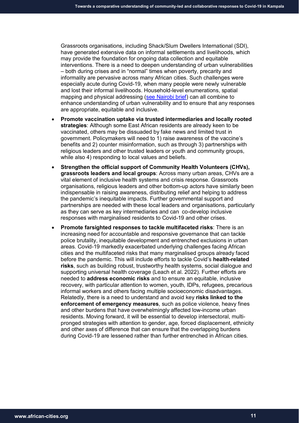Grassroots organisations, including Shack/Slum Dwellers International (SDI), have generated extensive data on informal settlements and livelihoods, which may provide the foundation for ongoing data collection and equitable interventions. There is a need to deepen understanding of urban vulnerabilities – both during crises and in "normal" times when poverty, precarity and informality are pervasive across many African cities. Such challenges were especially acute during Covid-19, when many people were newly vulnerable and lost their informal livelihoods. Household-level enumerations, spatial mapping and physical addressing [\(see Nairobi brief\)](https://www.african-cities.org/wp-content/uploads/2022/06/ACRC_Covid-Collective_Community-led-responses-in-Nairobi.pdf) can all combine to enhance understanding of urban vulnerability and to ensure that any responses are appropriate, equitable and inclusive.

- **Promote vaccination uptake via trusted intermediaries and locally rooted strategies**: Although some East African residents are already keen to be vaccinated, others may be dissuaded by fake news and limited trust in government. Policymakers will need to 1) raise awareness of the vaccine's benefits and 2) counter misinformation, such as through 3) partnerships with religious leaders and other trusted leaders or youth and community groups, while also 4) responding to local values and beliefs.
- **Strengthen the official support of Community Health Volunteers (CHVs), grassroots leaders and local groups**: Across many urban areas, CHVs are a vital element of inclusive health systems and crisis response. Grassroots organisations, religious leaders and other bottom-up actors have similarly been indispensable in raising awareness, distributing relief and helping to address the pandemic's inequitable impacts. Further governmental support and partnerships are needed with these local leaders and organisations, particularly as they can serve as key intermediaries and can co-develop inclusive responses with marginalised residents to Covid-19 and other crises.
- **Promote farsighted responses to tackle multifaceted risks**: There is an increasing need for accountable and responsive governance that can tackle police brutality, inequitable development and entrenched exclusions in urban areas. Covid-19 markedly exacerbated underlying challenges facing African cities and the multifaceted risks that many marginalised groups already faced before the pandemic. This will include efforts to tackle Covid's **health-related risks**, such as building robust, trustworthy health systems, social dialogue and supporting universal health coverage (Leach et al. 2022). Further efforts are needed to **address economic risks** and to ensure an equitable, inclusive recovery, with particular attention to women, youth, IDPs, refugees, precarious informal workers and others facing multiple socioeconomic disadvantages. Relatedly, there is a need to understand and avoid key **risks linked to the enforcement of emergency measures**, such as police violence, heavy fines and other burdens that have overwhelmingly affected low-income urban residents. Moving forward, it will be essential to develop intersectoral, multipronged strategies with attention to gender, age, forced displacement, ethnicity and other axes of difference that can ensure that the overlapping burdens during Covid-19 are lessened rather than further entrenched in African cities.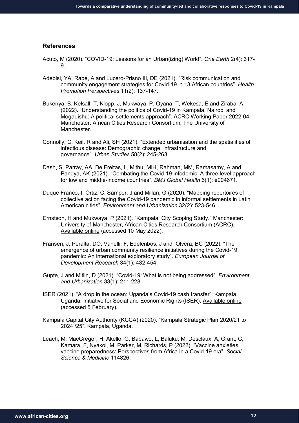## **References**

- Acuto, M (2020). "COVID-19: Lessons for an Urban(izing) World". *One Earth* 2(4): 317- 9.
- Adebisi, YA, Rabe, A and Lucero-Prisno III, DE (2021). "Risk communication and community engagement strategies for Covid-19 in 13 African countries". *Health Promotion Perspectives* 11(2): 137-147.
- Bukenya, B, Kelsall, T, Klopp, J, Mukwaya, P, Oyana, T, Wekesa, E and Ziraba, A (2022). "Understanding the politics of Covid-19 in Kampala, Nairobi and Mogadishu: A political settlements approach". ACRC Working Paper 2022-04. Manchester: African Cities Research Consortium, The University of Manchester.
- Connolly, C, Keil, R and Ali, SH (2021). "Extended urbanisation and the spatialities of infectious disease: Demographic change, infrastructure and governance". *Urban Studies* 58(2): 245-263.
- Dash, S, Parray, AA, De Freitas, L, Mithu, MIH, Rahman, MM, Ramasamy, A and Pandya, AK (2021). "Combating the Covid-19 infodemic: A three-level approach for low and middle-income countries". *BMJ Global Health* 6(1): e004671.
- Duque Franco, I, Ortiz, C, Samper, J and Millan, G (2020). "Mapping repertoires of collective action facing the Covid-19 pandemic in informal settlements in Latin American cities". *Environment and Urbanization* 32(2): 523-546.
- Ernstson, H and Mukwaya, P (2021). "Kampala: City Scoping Study." Manchester: University of Manchester, African Cities Research Consortium (ACRC). [Available online](https://www.african-cities.org/wp-content/uploads/2022/01/ACRC_Kampala_City-Scoping-Study.pdf) (accessed 10 May 2022).
- Fransen, J, Peralta, DO, Vanelli, F, Edelenbos, J and Olvera, BC (2022). "The emergence of urban community resilience initiatives during the Covid-19 pandemic: An international exploratory study". *European Journal of Development Research* 34(1): 432-454.
- Gupte, J and Mitlin, D (2021). "Covid-19: What is not being addressed". *Environment and Urbanization* 33(1): 211-228.
- ISER (2021). "A drop in the ocean: Uganda's Covid-19 cash transfer". Kampala, Uganda: Initiative for Social and Economic Rights (ISER). [Available online](https://www.iser-uganda.org/images/downloads/A_drop_in_the_ocean_-_Ugandas_Covid-19_cash_transfer.pdf) (accessed 5 February).
- Kampala Capital City Authority (KCCA) (2020). "Kampala Strategic Plan 2020/21 to 2024 /25". Kampala, Uganda.
- Leach, M, MacGregor, H, Akello, G, Babawo, L, Baluku, M, Desclaux, A, Grant, C, Kamara, F, Nyakoi, M, Parker, M, Richards, P (2022). "Vaccine anxieties, vaccine preparedness: Perspectives from Africa in a Covid-19 era". *Social Science & Medicine* 114826.